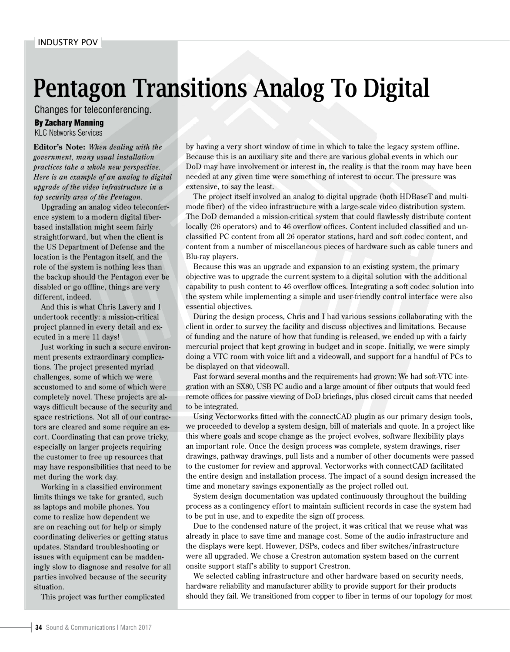## Pentagon Transitions Analog To Digital

Changes for teleconferencing.

## By Zachary Manning

KLC Networks Services

**Editor's Note:** *When dealing with the government, many usual installation practices take a whole new perspective. Here is an example of an analog to digital upgrade of the video infrastructure in a top security area of the Pentagon.*

Upgrading an analog video teleconference system to a modern digital fiberbased installation might seem fairly straightforward, but when the client is the US Department of Defense and the location is the Pentagon itself, and the role of the system is nothing less than the backup should the Pentagon ever be disabled or go offline, things are very different, indeed.

And this is what Chris Lavery and I undertook recently: a mission-critical project planned in every detail and executed in a mere 11 days!

Just working in such a secure environment presents extraordinary complications. The project presented myriad challenges, some of which we were accustomed to and some of which were completely novel. These projects are always difficult because of the security and space restrictions. Not all of our contractors are cleared and some require an escort. Coordinating that can prove tricky, especially on larger projects requiring the customer to free up resources that may have responsibilities that need to be met during the work day.

Working in a classified environment limits things we take for granted, such as laptops and mobile phones. You come to realize how dependent we are on reaching out for help or simply coordinating deliveries or getting status updates. Standard troubleshooting or issues with equipment can be maddeningly slow to diagnose and resolve for all parties involved because of the security situation.

This project was further complicated

by having a very short window of time in which to take the legacy system offline. Because this is an auxiliary site and there are various global events in which our DoD may have involvement or interest in, the reality is that the room may have been needed at any given time were something of interest to occur. The pressure was extensive, to say the least.

The project itself involved an analog to digital upgrade (both HDBaseT and multimode fiber) of the video infrastructure with a large-scale video distribution system. The DoD demanded a mission-critical system that could flawlessly distribute content locally (26 operators) and to 46 overflow offices. Content included classified and unclassified PC content from all 26 operator stations, hard and soft codec content, and content from a number of miscellaneous pieces of hardware such as cable tuners and Blu-ray players.

Because this was an upgrade and expansion to an existing system, the primary objective was to upgrade the current system to a digital solution with the additional capability to push content to 46 overflow offices. Integrating a soft codec solution into the system while implementing a simple and user-friendly control interface were also essential objectives.

During the design process, Chris and I had various sessions collaborating with the client in order to survey the facility and discuss objectives and limitations. Because of funding and the nature of how that funding is released, we ended up with a fairly mercurial project that kept growing in budget and in scope. Initially, we were simply doing a VTC room with voice lift and a videowall, and support for a handful of PCs to be displayed on that videowall.

Fast forward several months and the requirements had grown: We had soft-VTC integration with an SX80, USB PC audio and a large amount of fiber outputs that would feed remote offices for passive viewing of DoD briefings, plus closed circuit cams that needed to be integrated.

Using Vectorworks fitted with the connectCAD plugin as our primary design tools, we proceeded to develop a system design, bill of materials and quote. In a project like this where goals and scope change as the project evolves, software flexibility plays an important role. Once the design process was complete, system drawings, riser drawings, pathway drawings, pull lists and a number of other documents were passed to the customer for review and approval. Vectorworks with connectCAD facilitated the entire design and installation process. The impact of a sound design increased the time and monetary savings exponentially as the project rolled out.

System design documentation was updated continuously throughout the building process as a contingency effort to maintain sufficient records in case the system had to be put in use, and to expedite the sign off process.

Due to the condensed nature of the project, it was critical that we reuse what was already in place to save time and manage cost. Some of the audio infrastructure and the displays were kept. However, DSPs, codecs and fiber switches/infrastructure were all upgraded. We chose a Crestron automation system based on the current onsite support staff's ability to support Crestron.

We selected cabling infrastructure and other hardware based on security needs, hardware reliability and manufacturer ability to provide support for their products should they fail. We transitioned from copper to fiber in terms of our topology for most